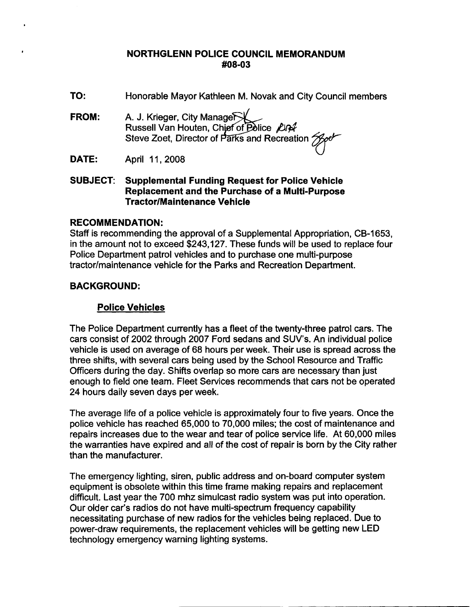#### **NORTHGLENN POLICE COUNCIL MEMORANDUM** #08-03

- TO: Honorable Mayor Kathleen M. Novak and City Council members
- A. J. Krieger, City Manage **FROM:** Russell Van Houten, Chief of Police Lin4 Steve Zoet, Director of Parks and Recreation Treb
- DATE: April 11, 2008
- **SUBJECT: Supplemental Funding Request for Police Vehicle** Replacement and the Purchase of a Multi-Purpose **Tractor/Maintenance Vehicle**

## **RECOMMENDATION:**

Staff is recommending the approval of a Supplemental Appropriation, CB-1653, in the amount not to exceed \$243,127. These funds will be used to replace four Police Department patrol vehicles and to purchase one multi-purpose tractor/maintenance vehicle for the Parks and Recreation Department.

# **BACKGROUND:**

# **Police Vehicles**

The Police Department currently has a fleet of the twenty-three patrol cars. The cars consist of 2002 through 2007 Ford sedans and SUV's. An individual police vehicle is used on average of 68 hours per week. Their use is spread across the three shifts, with several cars being used by the School Resource and Traffic Officers during the day. Shifts overlap so more cars are necessary than just enough to field one team. Fleet Services recommends that cars not be operated 24 hours daily seven days per week.

The average life of a police vehicle is approximately four to five years. Once the police vehicle has reached 65,000 to 70,000 miles; the cost of maintenance and repairs increases due to the wear and tear of police service life. At 60,000 miles the warranties have expired and all of the cost of repair is born by the City rather than the manufacturer.

The emergency lighting, siren, public address and on-board computer system equipment is obsolete within this time frame making repairs and replacement difficult. Last year the 700 mhz simulcast radio system was put into operation. Our older car's radios do not have multi-spectrum frequency capability necessitating purchase of new radios for the vehicles being replaced. Due to power-draw requirements, the replacement vehicles will be getting new LED technology emergency warning lighting systems.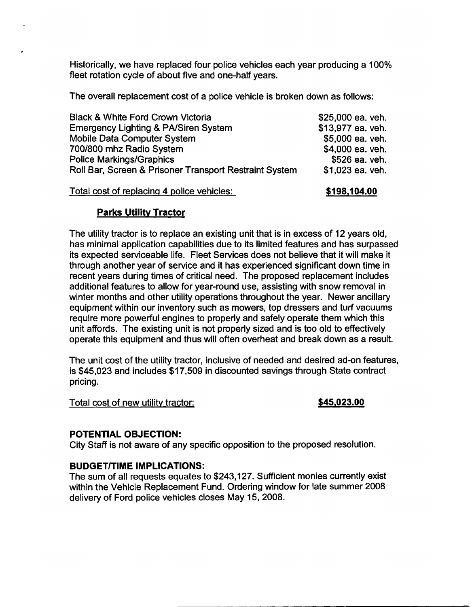Historically, we have replaced four police vehicles each year producing a 100% fleet rotation cycle of about five and one-half years.

The overall replacement cost of a police vehicle is broken down as follows:

| <b>Black &amp; White Ford Crown Victoria</b>           | \$25,000 ea. veh. |
|--------------------------------------------------------|-------------------|
| Emergency Lighting & PA/Siren System                   | \$13,977 ea. veh. |
| <b>Mobile Data Computer System</b>                     | \$5,000 ea. veh.  |
| 700/800 mhz Radio System                               | \$4,000 ea. veh.  |
| <b>Police Markings/Graphics</b>                        | \$526 ea. veh.    |
| Roll Bar, Screen & Prisoner Transport Restraint System | \$1,023 ea. veh.  |
| Total cost of replacing 4 police vehicles:             | \$198.104.00      |

## **Parks Utility Tractor**

The utility tractor is to replace an existing unit that is in excess of 12 years old. has minimal application capabilities due to its limited features and has surpassed its expected serviceable life. Fleet Services does not believe that it will make it through another year of service and it has experienced significant down time in recent years during times of critical need. The proposed replacement includes additional features to allow for year-round use, assisting with snow removal in winter months and other utility operations throughout the year. Newer ancillary equipment within our inventory such as mowers, top dressers and turf vacuums require more powerful engines to properly and safely operate them which this unit affords. The existing unit is not properly sized and is too old to effectively operate this equipment and thus will often overheat and break down as a result.

The unit cost of the utility tractor, inclusive of needed and desired ad-on features, is \$45,023 and includes \$17,509 in discounted savings through State contract pricing.

Total cost of new utility tractor:

#### \$45,023.00

## POTENTIAL OBJECTION:

City Staff is not aware of any specific opposition to the proposed resolution.

## **BUDGET/TIME IMPLICATIONS:**

The sum of all requests equates to \$243,127. Sufficient monies currently exist within the Vehicle Replacement Fund. Ordering window for late summer 2008 delivery of Ford police vehicles closes May 15, 2008.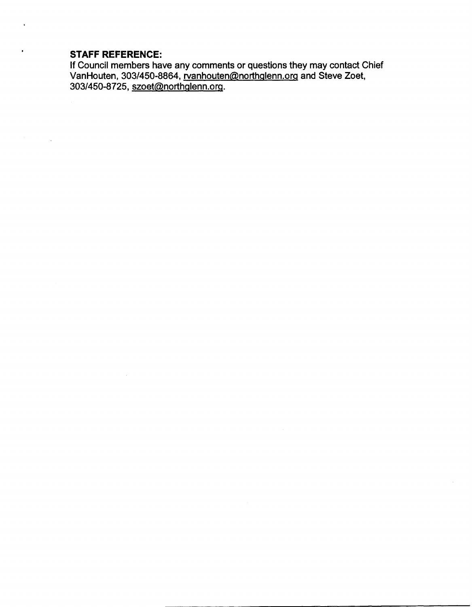# **STAFF REFERENCE:**

If Council members have any comments or questions they may contact Chief<br>VanHouten, 303/450-8864, rvanhouten@northglenn.org and Steve Zoet,<br>303/450-8725, szoet@northglenn.org.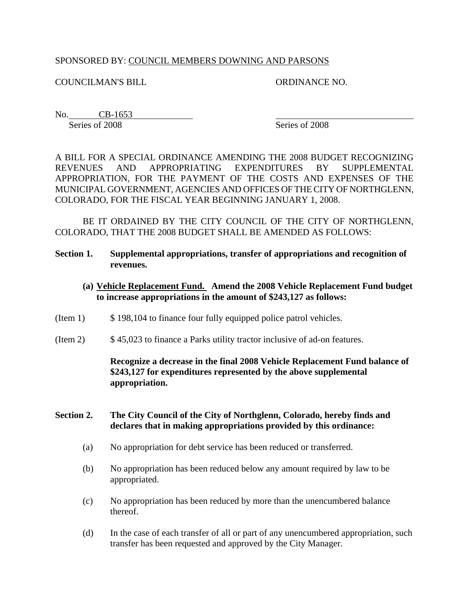## SPONSORED BY: COUNCIL MEMBERS DOWNING AND PARSONS

COUNCILMAN'S BILL ORDINANCE NO.

No. CB-1653

Series of 2008 Series of 2008

A BILL FOR A SPECIAL ORDINANCE AMENDING THE 2008 BUDGET RECOGNIZING REVENUES AND APPROPRIATING EXPENDITURES BY SUPPLEMENTAL APPROPRIATION, FOR THE PAYMENT OF THE COSTS AND EXPENSES OF THE MUNICIPAL GOVERNMENT, AGENCIES AND OFFICES OF THE CITY OF NORTHGLENN, COLORADO, FOR THE FISCAL YEAR BEGINNING JANUARY 1, 2008.

BE IT ORDAINED BY THE CITY COUNCIL OF THE CITY OF NORTHGLENN, COLORADO, THAT THE 2008 BUDGET SHALL BE AMENDED AS FOLLOWS:

- **Section 1. Supplemental appropriations, transfer of appropriations and recognition of revenues.** 
	- **(a) Vehicle Replacement Fund. Amend the 2008 Vehicle Replacement Fund budget to increase appropriations in the amount of \$243,127 as follows:**
- (Item 1)  $\qquad$  \$ 198,104 to finance four fully equipped police patrol vehicles.
- (Item 2) \$ 45,023 to finance a Parks utility tractor inclusive of ad-on features.

**Recognize a decrease in the final 2008 Vehicle Replacement Fund balance of \$243,127 for expenditures represented by the above supplemental appropriation.**

#### **Section 2. The City Council of the City of Northglenn, Colorado, hereby finds and declares that in making appropriations provided by this ordinance:**

- (a) No appropriation for debt service has been reduced or transferred.
- (b) No appropriation has been reduced below any amount required by law to be appropriated.
- (c) No appropriation has been reduced by more than the unencumbered balance thereof.
- (d) In the case of each transfer of all or part of any unencumbered appropriation, such transfer has been requested and approved by the City Manager.